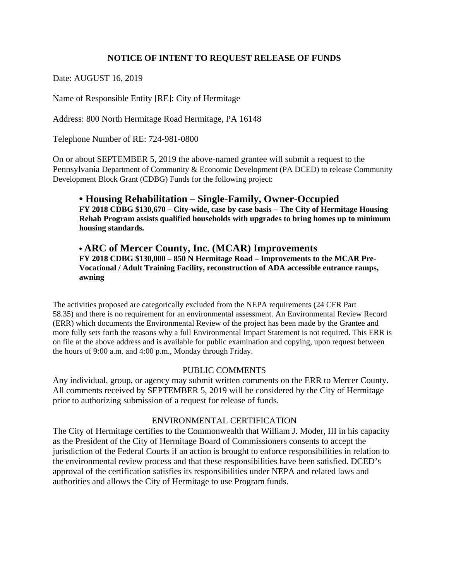# **NOTICE OF INTENT TO REQUEST RELEASE OF FUNDS**

Date: AUGUST 16, 2019

Name of Responsible Entity [RE]: City of Hermitage

Address: 800 North Hermitage Road Hermitage, PA 16148

Telephone Number of RE: 724-981-0800

On or about SEPTEMBER 5, 2019 the above-named grantee will submit a request to the Pennsylvania Department of Community & Economic Development (PA DCED) to release Community Development Block Grant (CDBG) Funds for the following project:

# **• Housing Rehabilitation – Single-Family, Owner-Occupied**

**FY 2018 CDBG \$130,670 – City-wide, case by case basis – The City of Hermitage Housing Rehab Program assists qualified households with upgrades to bring homes up to minimum housing standards.** 

#### **• ARC of Mercer County, Inc. (MCAR) Improvements FY 2018 CDBG \$130,000 – 850 N Hermitage Road – Improvements to the MCAR Pre-**

**Vocational / Adult Training Facility, reconstruction of ADA accessible entrance ramps, awning** 

The activities proposed are categorically excluded from the NEPA requirements (24 CFR Part 58.35) and there is no requirement for an environmental assessment. An Environmental Review Record (ERR) which documents the Environmental Review of the project has been made by the Grantee and more fully sets forth the reasons why a full Environmental Impact Statement is not required. This ERR is on file at the above address and is available for public examination and copying, upon request between the hours of 9:00 a.m. and 4:00 p.m., Monday through Friday.

### PUBLIC COMMENTS

Any individual, group, or agency may submit written comments on the ERR to Mercer County*.*  All comments received by SEPTEMBER 5, 2019 will be considered by the City of Hermitage prior to authorizing submission of a request for release of funds.

### ENVIRONMENTAL CERTIFICATION

The City of Hermitage certifies to the Commonwealth that William J. Moder, III in his capacity as the President of the City of Hermitage Board of Commissioners consents to accept the jurisdiction of the Federal Courts if an action is brought to enforce responsibilities in relation to the environmental review process and that these responsibilities have been satisfied. DCED's approval of the certification satisfies its responsibilities under NEPA and related laws and authorities and allows the City of Hermitage to use Program funds.